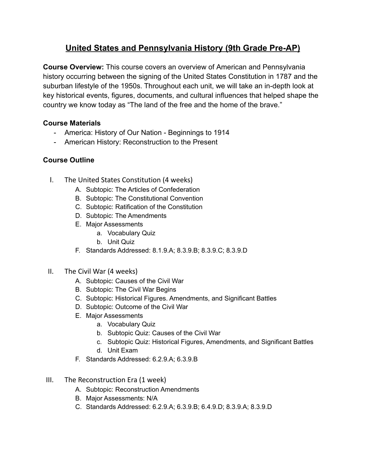## **United States and Pennsylvania History (9th Grade Pre-AP)**

**Course Overview:** This course covers an overview of American and Pennsylvania history occurring between the signing of the United States Constitution in 1787 and the suburban lifestyle of the 1950s. Throughout each unit, we will take an in-depth look at key historical events, figures, documents, and cultural influences that helped shape the country we know today as "The land of the free and the home of the brave."

## **Course Materials**

- America: History of Our Nation Beginnings to 1914
- American History: Reconstruction to the Present

## **Course Outline**

- I. The United States Constitution (4 weeks)
	- A. Subtopic: The Articles of Confederation
	- B. Subtopic: The Constitutional Convention
	- C. Subtopic: Ratification of the Constitution
	- D. Subtopic: The Amendments
	- E. Major Assessments
		- a. Vocabulary Quiz
		- b. Unit Quiz
	- F. Standards Addressed: 8.1.9.A; 8.3.9.B; 8.3.9.C; 8.3.9.D
- II. The Civil War (4 weeks)
	- A. Subtopic: Causes of the Civil War
	- B. Subtopic: The Civil War Begins
	- C. Subtopic: Historical Figures. Amendments, and Significant Battles
	- D. Subtopic: Outcome of the Civil War
	- E. Major Assessments
		- a. Vocabulary Quiz
		- b. Subtopic Quiz: Causes of the Civil War
		- c. Subtopic Quiz: Historical Figures, Amendments, and Significant Battles
		- d. Unit Exam
	- F. Standards Addressed: 6.2.9.A; 6.3.9.B
- III. The Reconstruction Era (1 week)
	- A. Subtopic: Reconstruction Amendments
	- B. Major Assessments: N/A
	- C. Standards Addressed: 6.2.9.A; 6.3.9.B; 6.4.9.D; 8.3.9.A; 8.3.9.D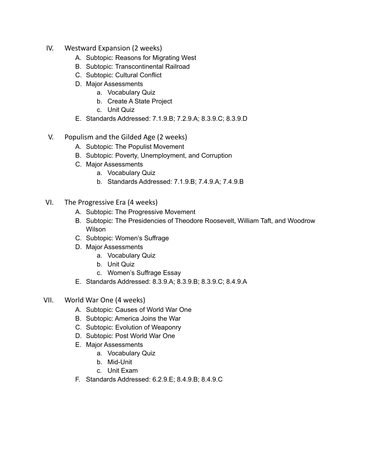- IV. Westward Expansion (2 weeks)
	- A. Subtopic: Reasons for Migrating West
	- B. Subtopic: Transcontinental Railroad
	- C. Subtopic: Cultural Conflict
	- D. Major Assessments
		- a. Vocabulary Quiz
		- b. Create A State Project
		- c. Unit Quiz
	- E. Standards Addressed: 7.1.9.B; 7.2.9.A; 8.3.9.C; 8.3.9.D
- V. Populism and the Gilded Age (2 weeks)
	- A. Subtopic: The Populist Movement
	- B. Subtopic: Poverty, Unemployment, and Corruption
	- C. Major Assessments
		- a. Vocabulary Quiz
		- b. Standards Addressed: 7.1.9.B; 7.4.9.A; 7.4.9.B
- VI. The Progressive Era (4 weeks)
	- A. Subtopic: The Progressive Movement
	- B. Subtopic: The Presidencies of Theodore Roosevelt, William Taft, and Woodrow **Wilson**
	- C. Subtopic: Women's Suffrage
	- D. Major Assessments
		- a. Vocabulary Quiz
		- b. Unit Quiz
		- c. Women's Suffrage Essay
	- E. Standards Addressed: 8.3.9.A; 8.3.9.B; 8.3.9.C; 8.4.9.A
- VII. World War One (4 weeks)
	- A. Subtopic: Causes of World War One
	- B. Subtopic: America Joins the War
	- C. Subtopic: Evolution of Weaponry
	- D. Subtopic: Post World War One
	- E. Major Assessments
		- a. Vocabulary Quiz
		- b. Mid-Unit
		- c. Unit Exam
	- F. Standards Addressed: 6.2.9.E; 8.4.9.B; 8.4.9.C